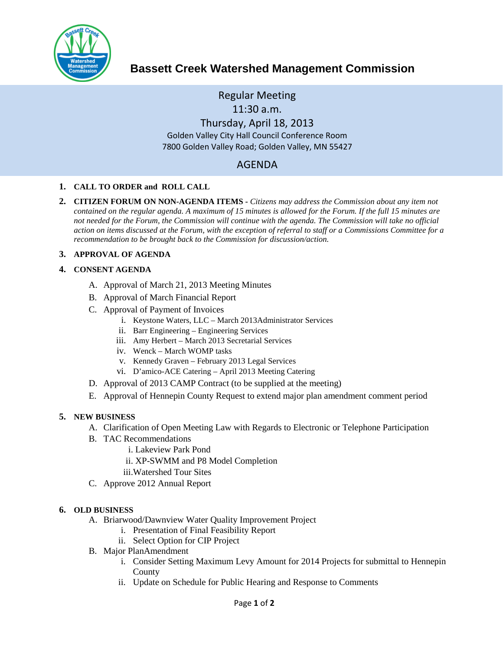

# **Bassett Creek Watershed Management Commission**

Regular Meeting 11:30 a.m. Thursday, April 18, 2013 Golden Valley City Hall Council Conference Room 7800 Golden Valley Road; Golden Valley, MN 55427

## AGENDA

#### **1. CALL TO ORDER and ROLL CALL**

**2. CITIZEN FORUM ON NON-AGENDA ITEMS -** *Citizens may address the Commission about any item not contained on the regular agenda. A maximum of 15 minutes is allowed for the Forum. If the full 15 minutes are*  not needed for the Forum, the Commission will continue with the agenda. The Commission will take no official *action on items discussed at the Forum, with the exception of referral to staff or a Commissions Committee for a recommendation to be brought back to the Commission for discussion/action.*

#### **3. APPROVAL OF AGENDA**

#### **4. CONSENT AGENDA**

- A. Approval of March 21, 2013 Meeting Minutes
- B. Approval of March Financial Report
- C. Approval of Payment of Invoices
	- i. Keystone Waters, LLC March 2013Administrator Services
	- ii. Barr Engineering Engineering Services
	- iii. Amy Herbert March 2013 Secretarial Services
	- iv. Wenck March WOMP tasks
	- v. Kennedy Graven February 2013 Legal Services
	- vi. D'amico-ACE Catering April 2013 Meeting Catering
- D. Approval of 2013 CAMP Contract (to be supplied at the meeting)
- E. Approval of Hennepin County Request to extend major plan amendment comment period

#### **5. NEW BUSINESS**

- A. Clarification of Open Meeting Law with Regards to Electronic or Telephone Participation
- B. TAC Recommendations
	- i. Lakeview Park Pond
	- ii. XP-SWMM and P8 Model Completion
	- iii.Watershed Tour Sites
- C. Approve 2012 Annual Report

#### **6. OLD BUSINESS**

- A. Briarwood/Dawnview Water Quality Improvement Project
	- i. Presentation of Final Feasibility Report
	- ii. Select Option for CIP Project
- B. Major PlanAmendment
	- i. Consider Setting Maximum Levy Amount for 2014 Projects for submittal to Hennepin County
	- ii. Update on Schedule for Public Hearing and Response to Comments